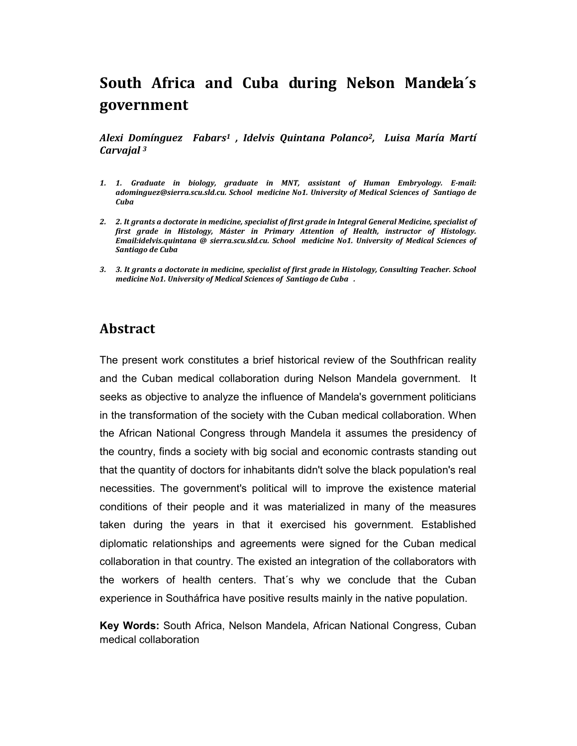# **South Africa and Cuba during Nelson Mandela´s government**

*Alexi Domínguez Fabars1 , Idelvis Quintana Polanco2, Luisa María Martí Carvajal <sup>3</sup>*

- *1. 1. Graduate in biology, graduate in MNT, assistant of Human Embryology. E-mail: adominguez@sierra.scu.sld.cu. School medicine No1. University of Medical Sciences of Santiago de Cuba*
- *2. 2. It grants a doctorate in medicine, specialist of first grade in Integral General Medicine, specialist of first grade in Histology, Máster in Primary Attention of Health, instructor of Histology. Email:idelvis.quintana @ sierra.scu.sld.cu. School medicine No1. University of Medical Sciences of Santiago de Cuba*
- *3. 3. It grants a doctorate in medicine, specialist of first grade in Histology, Consulting Teacher. School medicine No1. University of Medical Sciences of Santiago de Cuba .*

### **Abstract**

The present work constitutes a brief historical review of the Southfrican reality and the Cuban medical collaboration during Nelson Mandela government. It seeks as objective to analyze the influence of Mandela's government politicians in the transformation of the society with the Cuban medical collaboration. When the African National Congress through Mandela it assumes the presidency of the country, finds a society with big social and economic contrasts standing out that the quantity of doctors for inhabitants didn't solve the black population's real necessities. The government's political will to improve the existence material conditions of their people and it was materialized in many of the measures taken during the years in that it exercised his government. Established diplomatic relationships and agreements were signed for the Cuban medical collaboration in that country. The existed an integration of the collaborators with the workers of health centers. That´s why we conclude that the Cuban experience in Southáfrica have positive results mainly in the native population.

**Key Words:** South Africa, Nelson Mandela, African National Congress, Cuban medical collaboration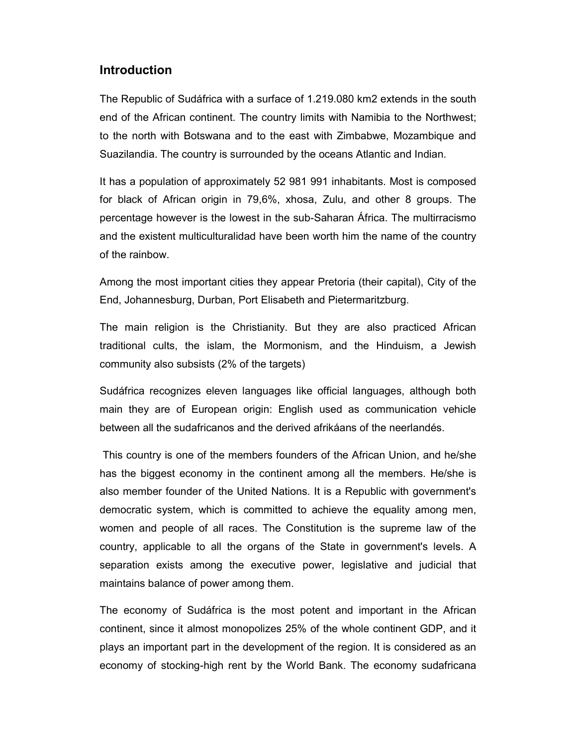### **Introduction**

The Republic of Sudáfrica with a surface of 1.219.080 km2 extends in the south end of the African continent. The country limits with Namibia to the Northwest; to the north with Botswana and to the east with Zimbabwe, Mozambique and Suazilandia. The country is surrounded by the oceans Atlantic and Indian.

It has a population of approximately 52 981 991 inhabitants. Most is composed for black of African origin in 79,6%, xhosa, Zulu, and other 8 groups. The percentage however is the lowest in the sub-Saharan África. The multirracismo and the existent multiculturalidad have been worth him the name of the country of the rainbow.

Among the most important cities they appear Pretoria (their capital), City of the End, Johannesburg, Durban, Port Elisabeth and Pietermaritzburg.

The main religion is the Christianity. But they are also practiced African traditional cults, the islam, the Mormonism, and the Hinduism, a Jewish community also subsists (2% of the targets)

Sudáfrica recognizes eleven languages like official languages, although both main they are of European origin: English used as communication vehicle between all the sudafricanos and the derived afrikáans of the neerlandés.

 This country is one of the members founders of the African Union, and he/she has the biggest economy in the continent among all the members. He/she is also member founder of the United Nations. It is a Republic with government's democratic system, which is committed to achieve the equality among men, women and people of all races. The Constitution is the supreme law of the country, applicable to all the organs of the State in government's levels. A separation exists among the executive power, legislative and judicial that maintains balance of power among them.

The economy of Sudáfrica is the most potent and important in the African continent, since it almost monopolizes 25% of the whole continent GDP, and it plays an important part in the development of the region. It is considered as an economy of stocking-high rent by the World Bank. The economy sudafricana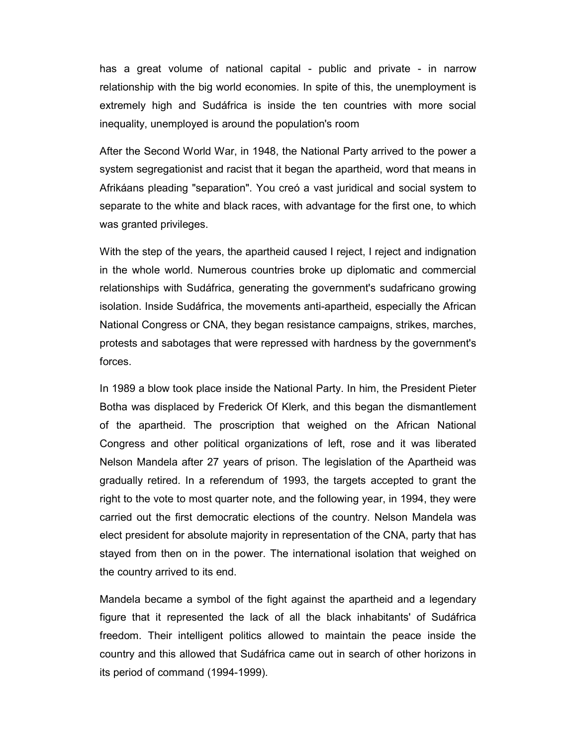has a great volume of national capital - public and private - in narrow relationship with the big world economies. In spite of this, the unemployment is extremely high and Sudáfrica is inside the ten countries with more social inequality, unemployed is around the population's room

After the Second World War, in 1948, the National Party arrived to the power a system segregationist and racist that it began the apartheid, word that means in Afrikáans pleading "separation". You creó a vast juridical and social system to separate to the white and black races, with advantage for the first one, to which was granted privileges.

With the step of the years, the apartheid caused I reject, I reject and indignation in the whole world. Numerous countries broke up diplomatic and commercial relationships with Sudáfrica, generating the government's sudafricano growing isolation. Inside Sudáfrica, the movements anti-apartheid, especially the African National Congress or CNA, they began resistance campaigns, strikes, marches, protests and sabotages that were repressed with hardness by the government's forces.

In 1989 a blow took place inside the National Party. In him, the President Pieter Botha was displaced by Frederick Of Klerk, and this began the dismantlement of the apartheid. The proscription that weighed on the African National Congress and other political organizations of left, rose and it was liberated Nelson Mandela after 27 years of prison. The legislation of the Apartheid was gradually retired. In a referendum of 1993, the targets accepted to grant the right to the vote to most quarter note, and the following year, in 1994, they were carried out the first democratic elections of the country. Nelson Mandela was elect president for absolute majority in representation of the CNA, party that has stayed from then on in the power. The international isolation that weighed on the country arrived to its end.

Mandela became a symbol of the fight against the apartheid and a legendary figure that it represented the lack of all the black inhabitants' of Sudáfrica freedom. Their intelligent politics allowed to maintain the peace inside the country and this allowed that Sudáfrica came out in search of other horizons in its period of command (1994-1999).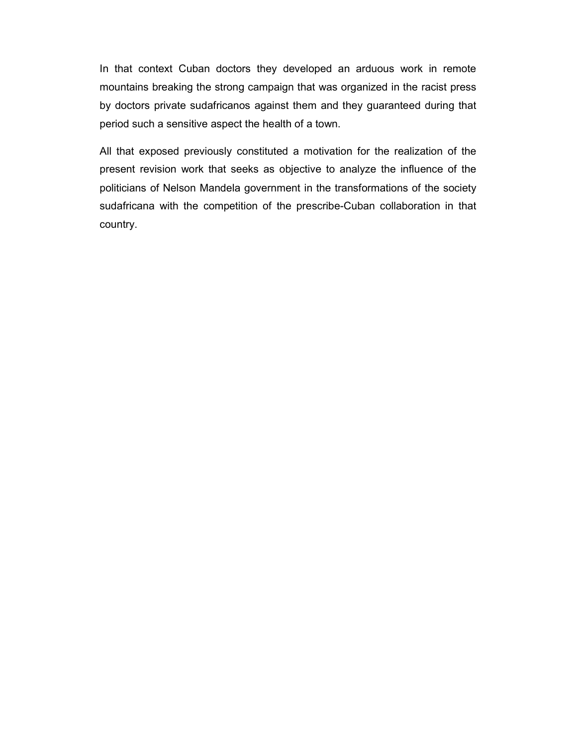In that context Cuban doctors they developed an arduous work in remote mountains breaking the strong campaign that was organized in the racist press by doctors private sudafricanos against them and they guaranteed during that period such a sensitive aspect the health of a town.

All that exposed previously constituted a motivation for the realization of the present revision work that seeks as objective to analyze the influence of the politicians of Nelson Mandela government in the transformations of the society sudafricana with the competition of the prescribe-Cuban collaboration in that country.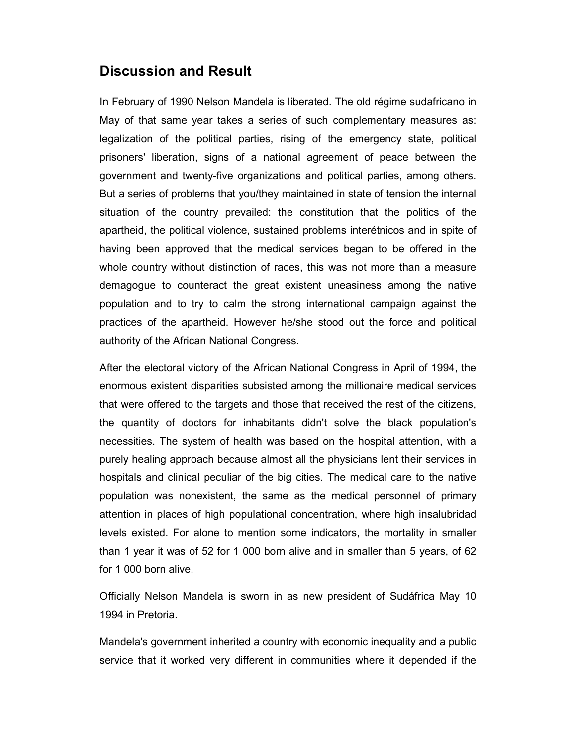## **Discussion and Result**

In February of 1990 Nelson Mandela is liberated. The old régime sudafricano in May of that same year takes a series of such complementary measures as: legalization of the political parties, rising of the emergency state, political prisoners' liberation, signs of a national agreement of peace between the government and twenty-five organizations and political parties, among others. But a series of problems that you/they maintained in state of tension the internal situation of the country prevailed: the constitution that the politics of the apartheid, the political violence, sustained problems interétnicos and in spite of having been approved that the medical services began to be offered in the whole country without distinction of races, this was not more than a measure demagogue to counteract the great existent uneasiness among the native population and to try to calm the strong international campaign against the practices of the apartheid. However he/she stood out the force and political authority of the African National Congress.

After the electoral victory of the African National Congress in April of 1994, the enormous existent disparities subsisted among the millionaire medical services that were offered to the targets and those that received the rest of the citizens, the quantity of doctors for inhabitants didn't solve the black population's necessities. The system of health was based on the hospital attention, with a purely healing approach because almost all the physicians lent their services in hospitals and clinical peculiar of the big cities. The medical care to the native population was nonexistent, the same as the medical personnel of primary attention in places of high populational concentration, where high insalubridad levels existed. For alone to mention some indicators, the mortality in smaller than 1 year it was of 52 for 1 000 born alive and in smaller than 5 years, of 62 for 1 000 born alive.

Officially Nelson Mandela is sworn in as new president of Sudáfrica May 10 1994 in Pretoria.

Mandela's government inherited a country with economic inequality and a public service that it worked very different in communities where it depended if the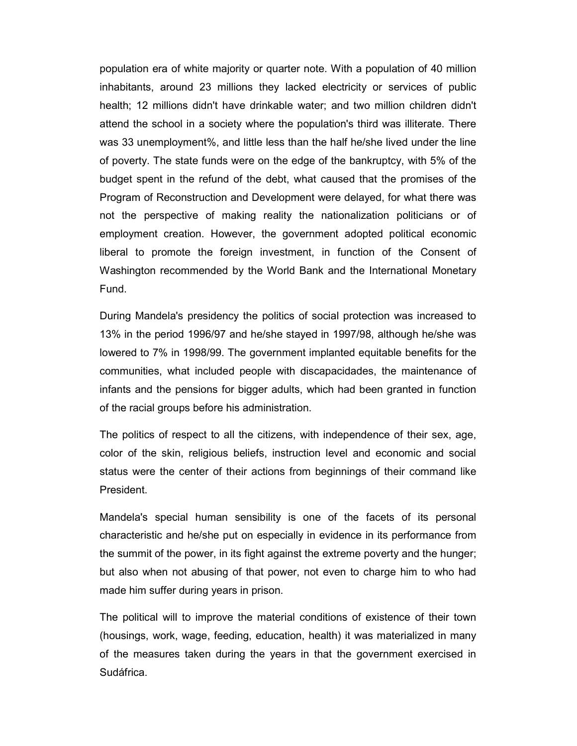population era of white majority or quarter note. With a population of 40 million inhabitants, around 23 millions they lacked electricity or services of public health; 12 millions didn't have drinkable water; and two million children didn't attend the school in a society where the population's third was illiterate. There was 33 unemployment%, and little less than the half he/she lived under the line of poverty. The state funds were on the edge of the bankruptcy, with 5% of the budget spent in the refund of the debt, what caused that the promises of the Program of Reconstruction and Development were delayed, for what there was not the perspective of making reality the nationalization politicians or of employment creation. However, the government adopted political economic liberal to promote the foreign investment, in function of the Consent of Washington recommended by the World Bank and the International Monetary Fund.

During Mandela's presidency the politics of social protection was increased to 13% in the period 1996/97 and he/she stayed in 1997/98, although he/she was lowered to 7% in 1998/99. The government implanted equitable benefits for the communities, what included people with discapacidades, the maintenance of infants and the pensions for bigger adults, which had been granted in function of the racial groups before his administration.

The politics of respect to all the citizens, with independence of their sex, age, color of the skin, religious beliefs, instruction level and economic and social status were the center of their actions from beginnings of their command like President.

Mandela's special human sensibility is one of the facets of its personal characteristic and he/she put on especially in evidence in its performance from the summit of the power, in its fight against the extreme poverty and the hunger; but also when not abusing of that power, not even to charge him to who had made him suffer during years in prison.

The political will to improve the material conditions of existence of their town (housings, work, wage, feeding, education, health) it was materialized in many of the measures taken during the years in that the government exercised in Sudáfrica.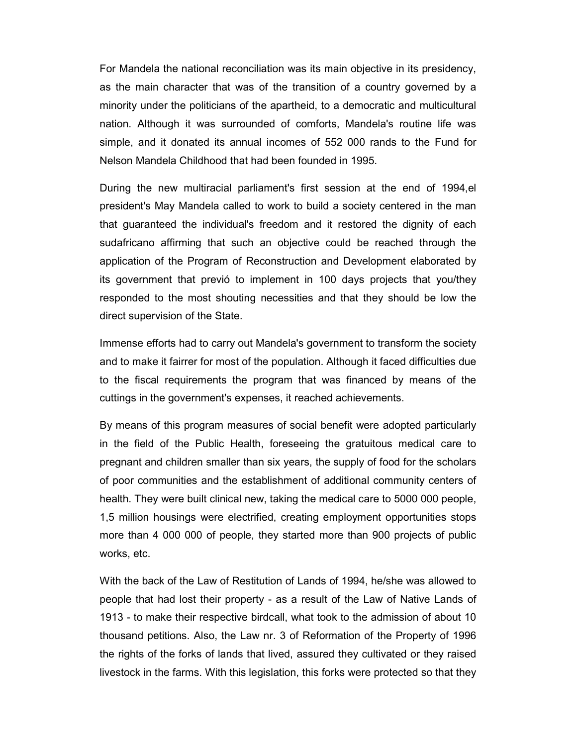For Mandela the national reconciliation was its main objective in its presidency, as the main character that was of the transition of a country governed by a minority under the politicians of the apartheid, to a democratic and multicultural nation. Although it was surrounded of comforts, Mandela's routine life was simple, and it donated its annual incomes of 552 000 rands to the Fund for Nelson Mandela Childhood that had been founded in 1995.

During the new multiracial parliament's first session at the end of 1994,el president's May Mandela called to work to build a society centered in the man that guaranteed the individual's freedom and it restored the dignity of each sudafricano affirming that such an objective could be reached through the application of the Program of Reconstruction and Development elaborated by its government that previó to implement in 100 days projects that you/they responded to the most shouting necessities and that they should be low the direct supervision of the State.

Immense efforts had to carry out Mandela's government to transform the society and to make it fairrer for most of the population. Although it faced difficulties due to the fiscal requirements the program that was financed by means of the cuttings in the government's expenses, it reached achievements.

By means of this program measures of social benefit were adopted particularly in the field of the Public Health, foreseeing the gratuitous medical care to pregnant and children smaller than six years, the supply of food for the scholars of poor communities and the establishment of additional community centers of health. They were built clinical new, taking the medical care to 5000 000 people, 1,5 million housings were electrified, creating employment opportunities stops more than 4 000 000 of people, they started more than 900 projects of public works, etc.

With the back of the Law of Restitution of Lands of 1994, he/she was allowed to people that had lost their property - as a result of the Law of Native Lands of 1913 - to make their respective birdcall, what took to the admission of about 10 thousand petitions. Also, the Law nr. 3 of Reformation of the Property of 1996 the rights of the forks of lands that lived, assured they cultivated or they raised livestock in the farms. With this legislation, this forks were protected so that they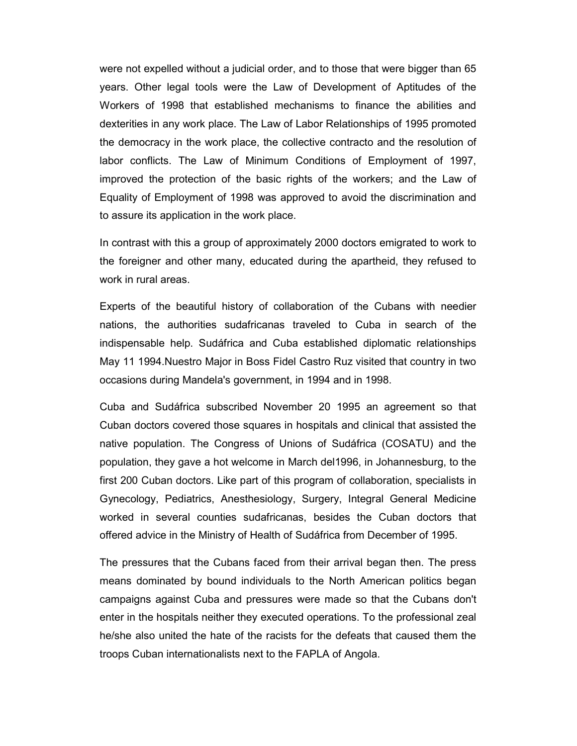were not expelled without a judicial order, and to those that were bigger than 65 years. Other legal tools were the Law of Development of Aptitudes of the Workers of 1998 that established mechanisms to finance the abilities and dexterities in any work place. The Law of Labor Relationships of 1995 promoted the democracy in the work place, the collective contracto and the resolution of labor conflicts. The Law of Minimum Conditions of Employment of 1997, improved the protection of the basic rights of the workers; and the Law of Equality of Employment of 1998 was approved to avoid the discrimination and to assure its application in the work place.

In contrast with this a group of approximately 2000 doctors emigrated to work to the foreigner and other many, educated during the apartheid, they refused to work in rural areas.

Experts of the beautiful history of collaboration of the Cubans with needier nations, the authorities sudafricanas traveled to Cuba in search of the indispensable help. Sudáfrica and Cuba established diplomatic relationships May 11 1994.Nuestro Major in Boss Fidel Castro Ruz visited that country in two occasions during Mandela's government, in 1994 and in 1998.

Cuba and Sudáfrica subscribed November 20 1995 an agreement so that Cuban doctors covered those squares in hospitals and clinical that assisted the native population. The Congress of Unions of Sudáfrica (COSATU) and the population, they gave a hot welcome in March del1996, in Johannesburg, to the first 200 Cuban doctors. Like part of this program of collaboration, specialists in Gynecology, Pediatrics, Anesthesiology, Surgery, Integral General Medicine worked in several counties sudafricanas, besides the Cuban doctors that offered advice in the Ministry of Health of Sudáfrica from December of 1995.

The pressures that the Cubans faced from their arrival began then. The press means dominated by bound individuals to the North American politics began campaigns against Cuba and pressures were made so that the Cubans don't enter in the hospitals neither they executed operations. To the professional zeal he/she also united the hate of the racists for the defeats that caused them the troops Cuban internationalists next to the FAPLA of Angola.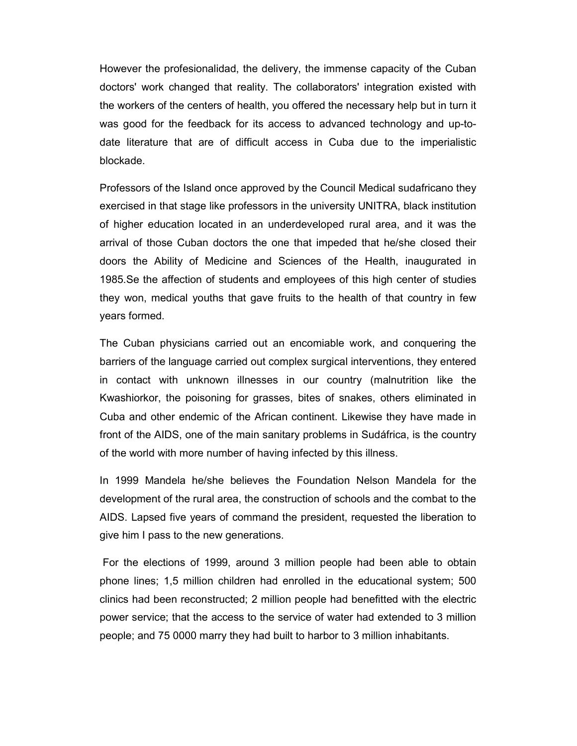However the profesionalidad, the delivery, the immense capacity of the Cuban doctors' work changed that reality. The collaborators' integration existed with the workers of the centers of health, you offered the necessary help but in turn it was good for the feedback for its access to advanced technology and up-todate literature that are of difficult access in Cuba due to the imperialistic blockade.

Professors of the Island once approved by the Council Medical sudafricano they exercised in that stage like professors in the university UNITRA, black institution of higher education located in an underdeveloped rural area, and it was the arrival of those Cuban doctors the one that impeded that he/she closed their doors the Ability of Medicine and Sciences of the Health, inaugurated in 1985.Se the affection of students and employees of this high center of studies they won, medical youths that gave fruits to the health of that country in few years formed.

The Cuban physicians carried out an encomiable work, and conquering the barriers of the language carried out complex surgical interventions, they entered in contact with unknown illnesses in our country (malnutrition like the Kwashiorkor, the poisoning for grasses, bites of snakes, others eliminated in Cuba and other endemic of the African continent. Likewise they have made in front of the AIDS, one of the main sanitary problems in Sudáfrica, is the country of the world with more number of having infected by this illness.

In 1999 Mandela he/she believes the Foundation Nelson Mandela for the development of the rural area, the construction of schools and the combat to the AIDS. Lapsed five years of command the president, requested the liberation to give him I pass to the new generations.

 For the elections of 1999, around 3 million people had been able to obtain phone lines; 1,5 million children had enrolled in the educational system; 500 clinics had been reconstructed; 2 million people had benefitted with the electric power service; that the access to the service of water had extended to 3 million people; and 75 0000 marry they had built to harbor to 3 million inhabitants.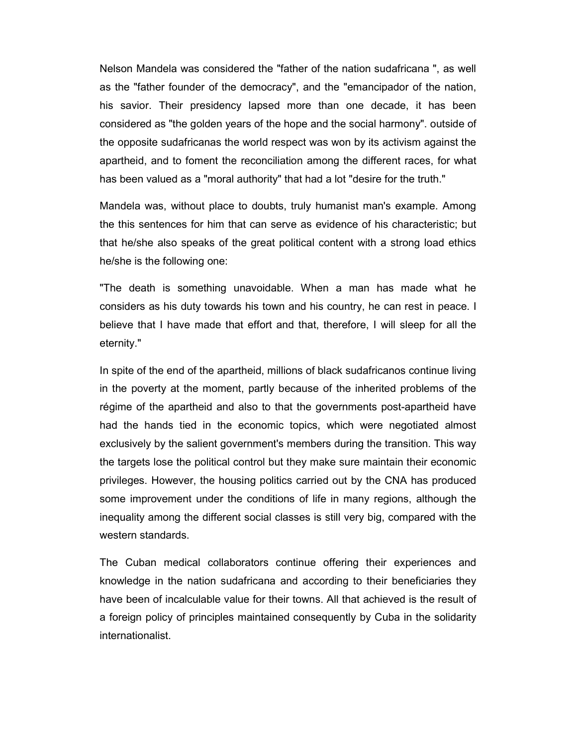Nelson Mandela was considered the "father of the nation sudafricana ", as well as the "father founder of the democracy", and the "emancipador of the nation, his savior. Their presidency lapsed more than one decade, it has been considered as "the golden years of the hope and the social harmony". outside of the opposite sudafricanas the world respect was won by its activism against the apartheid, and to foment the reconciliation among the different races, for what has been valued as a "moral authority" that had a lot "desire for the truth."

Mandela was, without place to doubts, truly humanist man's example. Among the this sentences for him that can serve as evidence of his characteristic; but that he/she also speaks of the great political content with a strong load ethics he/she is the following one:

"The death is something unavoidable. When a man has made what he considers as his duty towards his town and his country, he can rest in peace. I believe that I have made that effort and that, therefore, I will sleep for all the eternity."

In spite of the end of the apartheid, millions of black sudafricanos continue living in the poverty at the moment, partly because of the inherited problems of the régime of the apartheid and also to that the governments post-apartheid have had the hands tied in the economic topics, which were negotiated almost exclusively by the salient government's members during the transition. This way the targets lose the political control but they make sure maintain their economic privileges. However, the housing politics carried out by the CNA has produced some improvement under the conditions of life in many regions, although the inequality among the different social classes is still very big, compared with the western standards.

The Cuban medical collaborators continue offering their experiences and knowledge in the nation sudafricana and according to their beneficiaries they have been of incalculable value for their towns. All that achieved is the result of a foreign policy of principles maintained consequently by Cuba in the solidarity internationalist.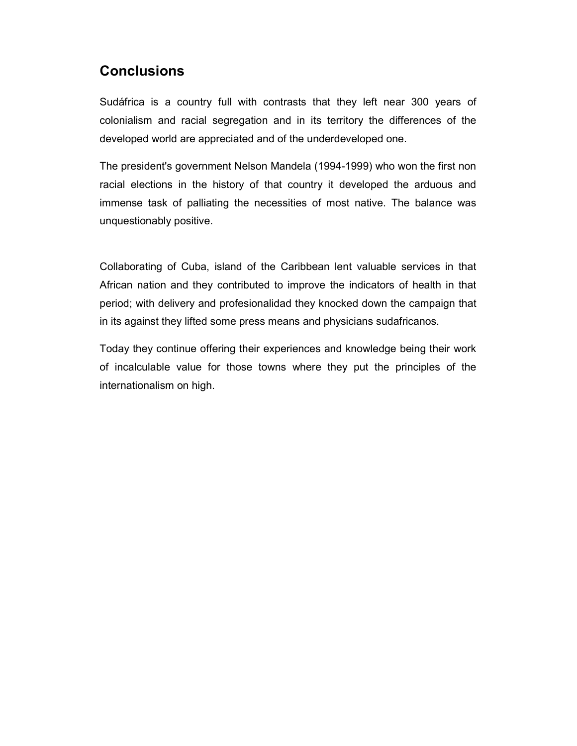## **Conclusions**

Sudáfrica is a country full with contrasts that they left near 300 years of colonialism and racial segregation and in its territory the differences of the developed world are appreciated and of the underdeveloped one.

The president's government Nelson Mandela (1994-1999) who won the first non racial elections in the history of that country it developed the arduous and immense task of palliating the necessities of most native. The balance was unquestionably positive.

Collaborating of Cuba, island of the Caribbean lent valuable services in that African nation and they contributed to improve the indicators of health in that period; with delivery and profesionalidad they knocked down the campaign that in its against they lifted some press means and physicians sudafricanos.

Today they continue offering their experiences and knowledge being their work of incalculable value for those towns where they put the principles of the internationalism on high.